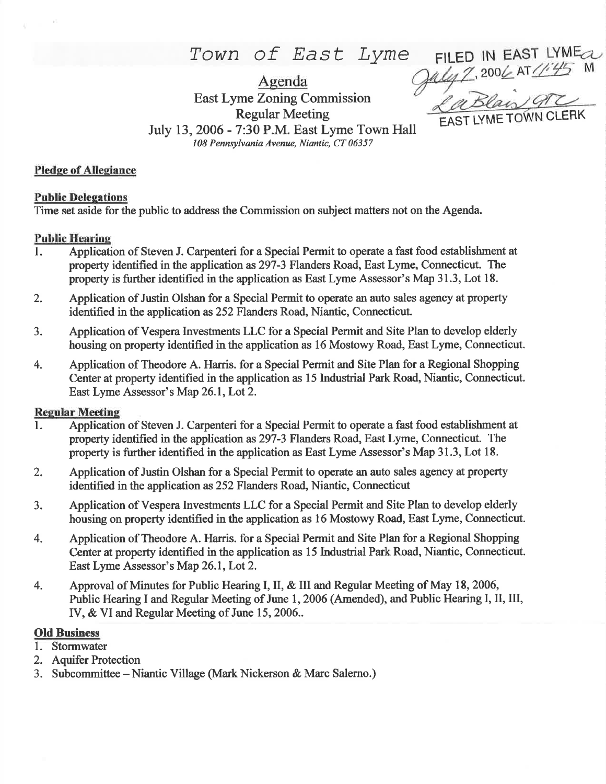# Town of East Lyme

Agenda East Lyme Zoning Commission Regular Meeting July 13, 2006 - 7:30 P.M. East Lyme Town Hall 108 Pennsylvania Avenue, Niantic, CT 06357

, 200*6* AT 445 M EAST LYME TOWN CLERK

FILED

IN EAST LYME<sub>a</sub>

#### Pledge of Allegiance

#### Public Deleeations

Time set aside for the public to address the Commission on subject matters not on the Agenda.

#### Public Hearine

- l. Application of Steven J. Carpenteri for a Special Permit to operate a fast food establishment at property identified in the application as297-3 Flanders Road, East Lyme, Connecticut. The property is further identified in the application as East Lyme Assessor's Map 31.3, Lot 18.
- 2. Application of Justin Olshan for a Special Permit to operate an auto sales agency at property identified in the application as252 Flanders Road, Niantic, Connecticut.
- 3. Application of Vespera Investments LLC for a Special Permit and Site Plan to develop elderly housing on property identified in the application as 16 Mostowy Road, East Lyme, Connecticut.
- 4. Application of Theodore A. Haris. for a Special Permit and Site Plan for a Regional Shopping Center at property identified in the application as 15 Industial Park Road, Niantic, Connecticut. East Lyme Assessor's Map 26.1, Lot 2.

#### **Regular Meeting**

- 1. Application of Steven J. Carpenteri for a Special Permit to operate a fast food establishment at property identified in the application as297-3 Flanders Road, East Lyme, Connecticut. The property is further identified in the application as East Lyme Assessor's Map 31.3, Lot 18.
- 2. Application of Justin Olshan for a Special Permit to operate an auto sales agency at property identified in the application as 252 Flanders Road, Niantic, Connecticut
- 3. Application of Vespera Investrnents LLC for a Special Permit and Site Plan to develop elderly housing on property identified in the application as l6 Mostowy Road, East Lyme, Connecticut.
- 4. Application of Theodore A. Harris. for a Special Permit and Site Plan for a Regional Shopping Center at property identified in the application as l5 lndustrial Park Road, Niantic, Connecticut. East Lyme Assessor's Map 26.1, Lot 2.
- 4. Approval of Minutes for Public Hearing I, II, & III and Regular Meeting of May 18, 2006, Public Hearing I and Regular Meeting of June 1,2006 (Amended), and Public Hearing I, II, III, IV, & VI and Regular Meeting of June 15,2006..

## Old Business

- 1. Stormwater
- 2. Aquifer Protection
- 3. Subcommittee Niantic Village (Mark Nickerson & Marc Salerno.)